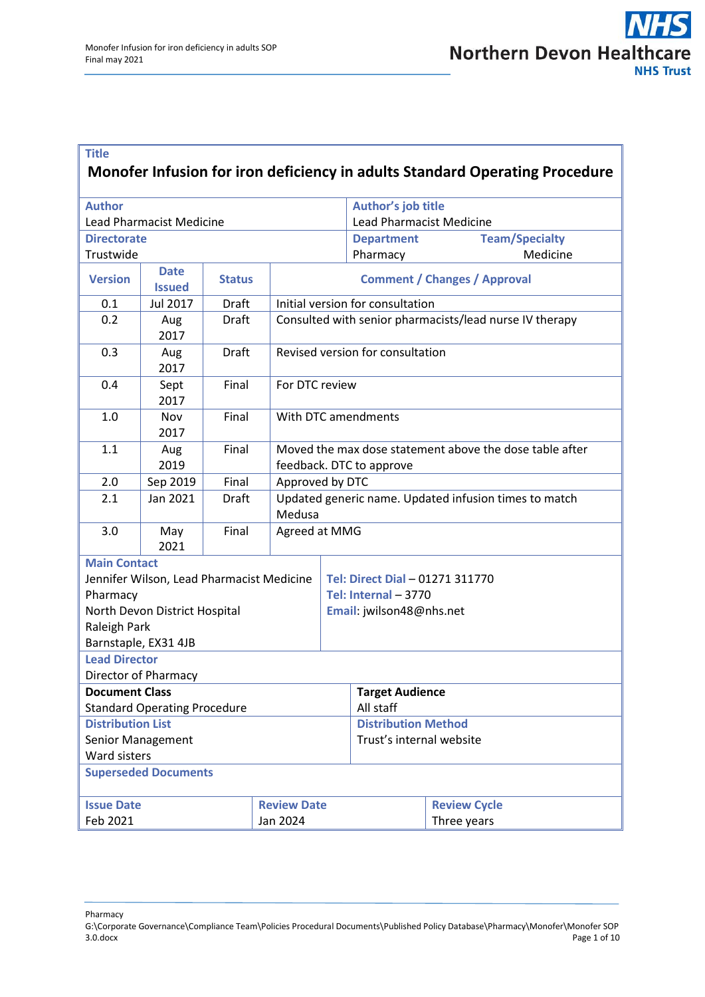### **Title Monofer Infusion for iron deficiency in adults Standard Operating Procedure**

| <b>Author</b>                           |                                           |               |        |                                                                                     | Author's job title              |                       |  |
|-----------------------------------------|-------------------------------------------|---------------|--------|-------------------------------------------------------------------------------------|---------------------------------|-----------------------|--|
|                                         | <b>Lead Pharmacist Medicine</b>           |               |        |                                                                                     | <b>Lead Pharmacist Medicine</b> |                       |  |
| <b>Directorate</b>                      |                                           |               |        |                                                                                     | <b>Department</b>               | <b>Team/Specialty</b> |  |
| Trustwide                               |                                           |               |        |                                                                                     | Pharmacy                        | Medicine              |  |
| <b>Version</b>                          | <b>Date</b><br><b>Issued</b>              | <b>Status</b> |        | <b>Comment / Changes / Approval</b>                                                 |                                 |                       |  |
| 0.1                                     | Jul 2017                                  | Draft         |        | Initial version for consultation                                                    |                                 |                       |  |
| 0.2                                     | Aug<br>2017                               | Draft         |        | Consulted with senior pharmacists/lead nurse IV therapy                             |                                 |                       |  |
| 0.3                                     | Aug<br>2017                               | <b>Draft</b>  |        | Revised version for consultation                                                    |                                 |                       |  |
| 0.4                                     | Sept<br>2017                              | Final         |        | For DTC review                                                                      |                                 |                       |  |
| 1.0                                     | Nov<br>2017                               | Final         |        | With DTC amendments                                                                 |                                 |                       |  |
| 1.1                                     | Aug<br>2019                               | Final         |        | Moved the max dose statement above the dose table after<br>feedback. DTC to approve |                                 |                       |  |
| 2.0                                     | Sep 2019                                  | Final         |        | Approved by DTC                                                                     |                                 |                       |  |
| 2.1                                     | Jan 2021                                  | Draft         | Medusa | Updated generic name. Updated infusion times to match                               |                                 |                       |  |
| 3.0                                     | May<br>2021                               | Final         |        | Agreed at MMG                                                                       |                                 |                       |  |
| <b>Main Contact</b>                     |                                           |               |        |                                                                                     |                                 |                       |  |
|                                         | Jennifer Wilson, Lead Pharmacist Medicine |               |        |                                                                                     | Tel: Direct Dial - 01271 311770 |                       |  |
| Pharmacy                                |                                           |               |        | Tel: Internal - 3770                                                                |                                 |                       |  |
|                                         | North Devon District Hospital             |               |        |                                                                                     | Email: jwilson48@nhs.net        |                       |  |
| Raleigh Park                            |                                           |               |        |                                                                                     |                                 |                       |  |
| Barnstaple, EX31 4JB                    |                                           |               |        |                                                                                     |                                 |                       |  |
| <b>Lead Director</b>                    |                                           |               |        |                                                                                     |                                 |                       |  |
|                                         | <b>Director of Pharmacy</b>               |               |        |                                                                                     |                                 |                       |  |
| <b>Document Class</b>                   |                                           |               |        |                                                                                     | <b>Target Audience</b>          |                       |  |
| <b>Standard Operating Procedure</b>     |                                           |               |        |                                                                                     | All staff                       |                       |  |
| <b>Distribution List</b>                |                                           |               |        |                                                                                     | <b>Distribution Method</b>      |                       |  |
| Senior Management                       |                                           |               |        |                                                                                     | Trust's internal website        |                       |  |
| <b>Ward sisters</b>                     |                                           |               |        |                                                                                     |                                 |                       |  |
| <b>Superseded Documents</b>             |                                           |               |        |                                                                                     |                                 |                       |  |
| <b>Review Date</b><br><b>Issue Date</b> |                                           |               |        |                                                                                     |                                 | <b>Review Cycle</b>   |  |
| Feb 2021<br>Jan 2024                    |                                           |               |        |                                                                                     |                                 | Three years           |  |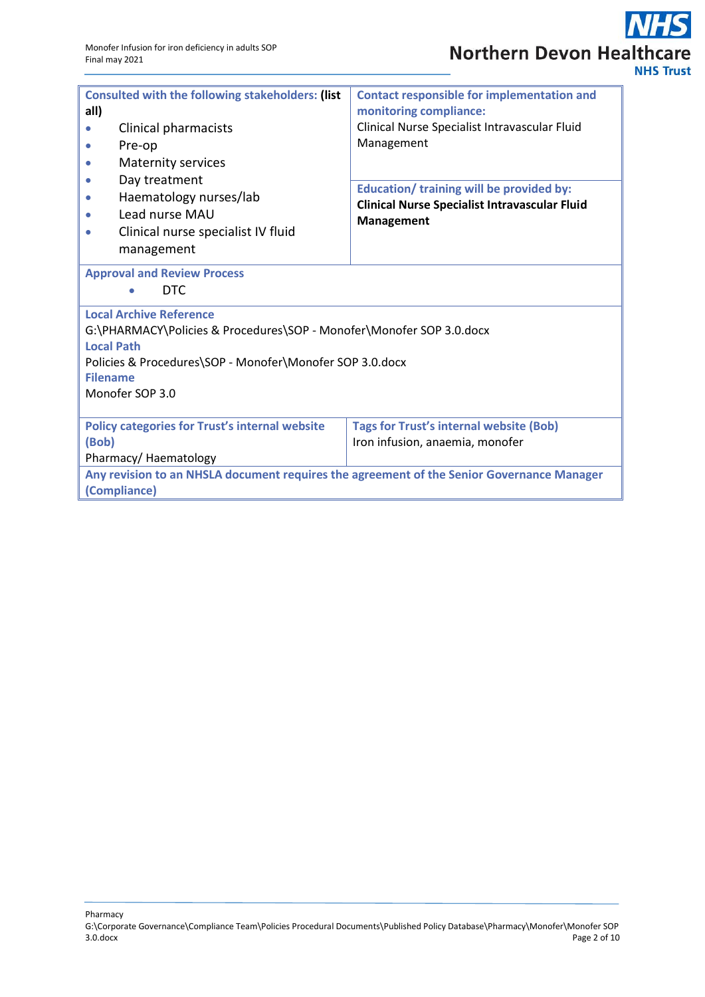| <b>Consulted with the following stakeholders: (list</b><br>all)<br>Clinical pharmacists<br>Pre-op<br><b>Maternity services</b><br>Day treatment<br>Haematology nurses/lab<br>Lead nurse MAU<br>Clinical nurse specialist IV fluid | <b>Contact responsible for implementation and</b><br>monitoring compliance:<br>Clinical Nurse Specialist Intravascular Fluid<br>Management<br><b>Education/ training will be provided by:</b><br><b>Clinical Nurse Specialist Intravascular Fluid</b><br><b>Management</b> |  |  |  |  |  |
|-----------------------------------------------------------------------------------------------------------------------------------------------------------------------------------------------------------------------------------|----------------------------------------------------------------------------------------------------------------------------------------------------------------------------------------------------------------------------------------------------------------------------|--|--|--|--|--|
| management<br><b>Approval and Review Process</b><br>DTC.                                                                                                                                                                          |                                                                                                                                                                                                                                                                            |  |  |  |  |  |
| <b>Local Archive Reference</b><br>G:\PHARMACY\Policies & Procedures\SOP - Monofer\Monofer SOP 3.0.docx<br><b>Local Path</b><br>Policies & Procedures\SOP - Monofer\Monofer SOP 3.0.docx<br><b>Filename</b><br>Monofer SOP 3.0     |                                                                                                                                                                                                                                                                            |  |  |  |  |  |
| <b>Policy categories for Trust's internal website</b><br>(Bob)<br>Pharmacy/Haematology                                                                                                                                            | <b>Tags for Trust's internal website (Bob)</b><br>Iron infusion, anaemia, monofer                                                                                                                                                                                          |  |  |  |  |  |
| Any revision to an NHSLA document requires the agreement of the Senior Governance Manager<br>(Compliance)                                                                                                                         |                                                                                                                                                                                                                                                                            |  |  |  |  |  |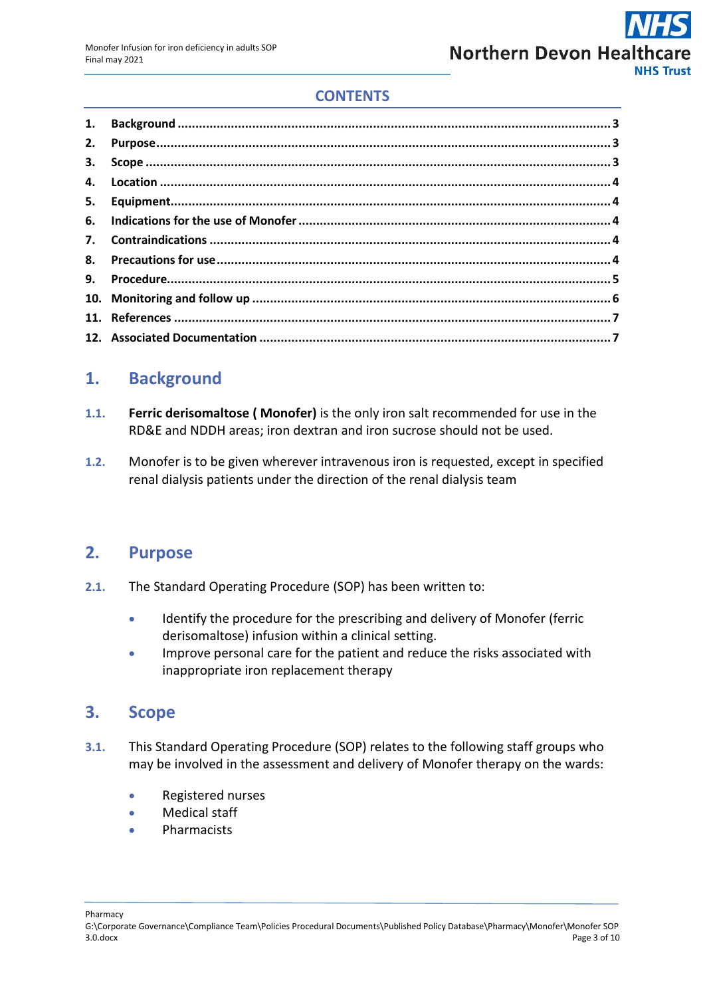## **CONTENTS**

# <span id="page-2-0"></span>**1. Background**

- **1.1. Ferric derisomaltose ( Monofer)** is the only iron salt recommended for use in the RD&E and NDDH areas; iron dextran and iron sucrose should not be used.
- **1.2.** Monofer is to be given wherever intravenous iron is requested, except in specified renal dialysis patients under the direction of the renal dialysis team

## <span id="page-2-1"></span>**2. Purpose**

- **2.1.** The Standard Operating Procedure (SOP) has been written to:
	- Identify the procedure for the prescribing and delivery of Monofer (ferric derisomaltose) infusion within a clinical setting.
	- Improve personal care for the patient and reduce the risks associated with inappropriate iron replacement therapy

# <span id="page-2-2"></span>**3. Scope**

- **3.1.** This Standard Operating Procedure (SOP) relates to the following staff groups who may be involved in the assessment and delivery of Monofer therapy on the wards:
	- Registered nurses
	- Medical staff
	- Pharmacists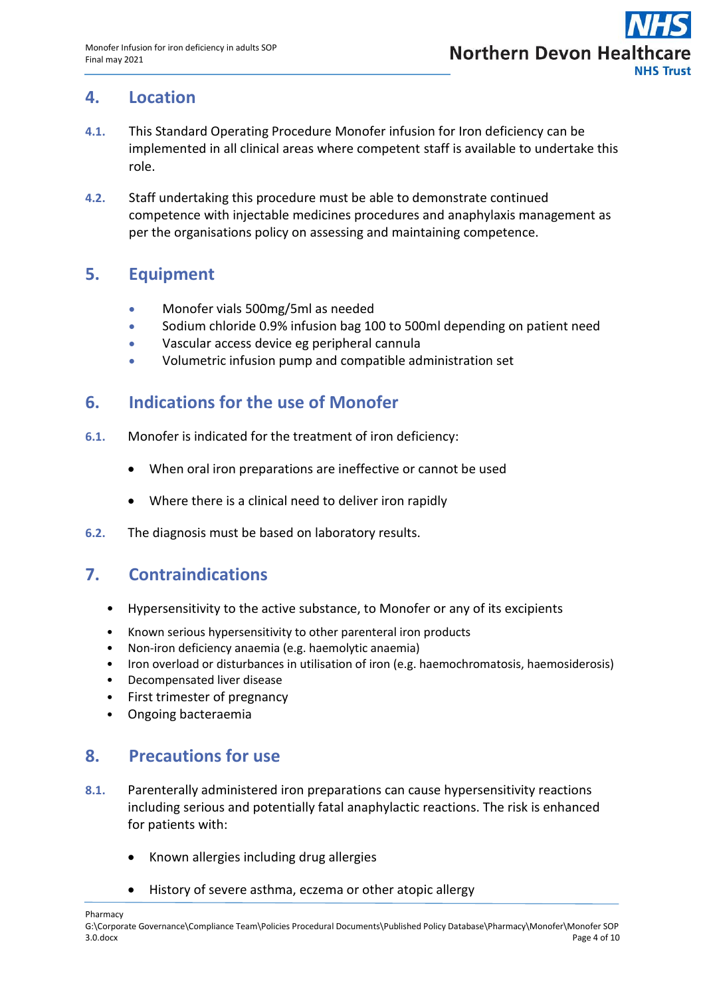

## <span id="page-3-0"></span>**4. Location**

- **4.1.** This Standard Operating Procedure Monofer infusion for Iron deficiency can be implemented in all clinical areas where competent staff is available to undertake this role.
- **4.2.** Staff undertaking this procedure must be able to demonstrate continued competence with injectable medicines procedures and anaphylaxis management as per the organisations policy on assessing and maintaining competence.

## <span id="page-3-1"></span>**5. Equipment**

- Monofer vials 500mg/5ml as needed
- Sodium chloride 0.9% infusion bag 100 to 500ml depending on patient need
- Vascular access device eg peripheral cannula
- Volumetric infusion pump and compatible administration set

## <span id="page-3-2"></span>**6. Indications for the use of Monofer**

- **6.1.** Monofer is indicated for the treatment of iron deficiency:
	- When oral iron preparations are ineffective or cannot be used
	- Where there is a clinical need to deliver iron rapidly
- **6.2.** The diagnosis must be based on laboratory results.

## <span id="page-3-3"></span>**7. Contraindications**

- Hypersensitivity to the active substance, to Monofer or any of its excipients
- Known serious hypersensitivity to other parenteral iron products
- Non-iron deficiency anaemia (e.g. haemolytic anaemia)
- Iron overload or disturbances in utilisation of iron (e.g. haemochromatosis, haemosiderosis)
- Decompensated liver disease
- First trimester of pregnancy
- Ongoing bacteraemia

## <span id="page-3-4"></span>**8. Precautions for use**

- **8.1.** Parenterally administered iron preparations can cause hypersensitivity reactions including serious and potentially fatal anaphylactic reactions. The risk is enhanced for patients with:
	- Known allergies including drug allergies
	- History of severe asthma, eczema or other atopic allergy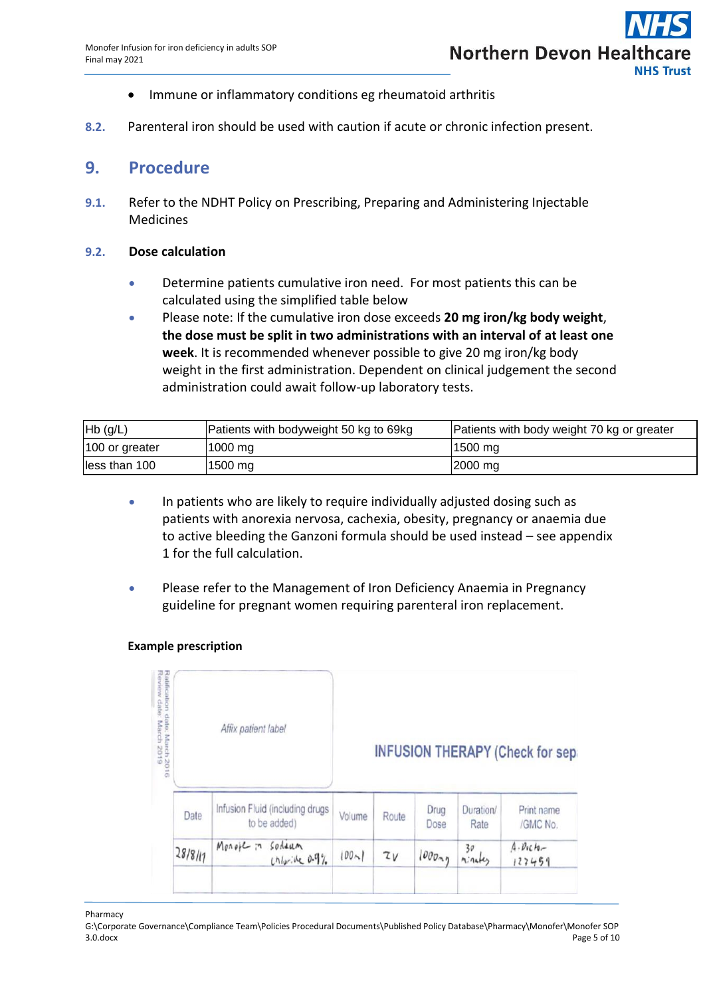- Immune or inflammatory conditions eg rheumatoid arthritis
- **8.2.** Parenteral iron should be used with caution if acute or chronic infection present.

# <span id="page-4-0"></span>**9. Procedure**

**9.1.** Refer to the NDHT Policy on Prescribing, Preparing and Administering Injectable Medicines

#### **9.2. Dose calculation**

- Determine patients cumulative iron need. For most patients this can be calculated using the simplified table below
- Please note: If the cumulative iron dose exceeds **20 mg iron/kg body weight**, **the dose must be split in two administrations with an interval of at least one week**. It is recommended whenever possible to give 20 mg iron/kg body weight in the first administration. Dependent on clinical judgement the second administration could await follow-up laboratory tests.

| $Hb$ (g/L)     | Patients with bodyweight 50 kg to 69kg | Patients with body weight 70 kg or greater |
|----------------|----------------------------------------|--------------------------------------------|
| 100 or greater | $1000$ mg                              | 1500 mg                                    |
| less than 100  | $1500$ mg                              | 2000 mg                                    |

- In patients who are likely to require individually adjusted dosing such as patients with anorexia nervosa, cachexia, obesity, pregnancy or anaemia due to active bleeding the Ganzoni formula should be used instead – see appendix 1 for the full calculation.
- Please refer to the Management of Iron Deficiency Anaemia in Pregnancy guideline for pregnant women requiring parenteral iron replacement.

#### **Example prescription**

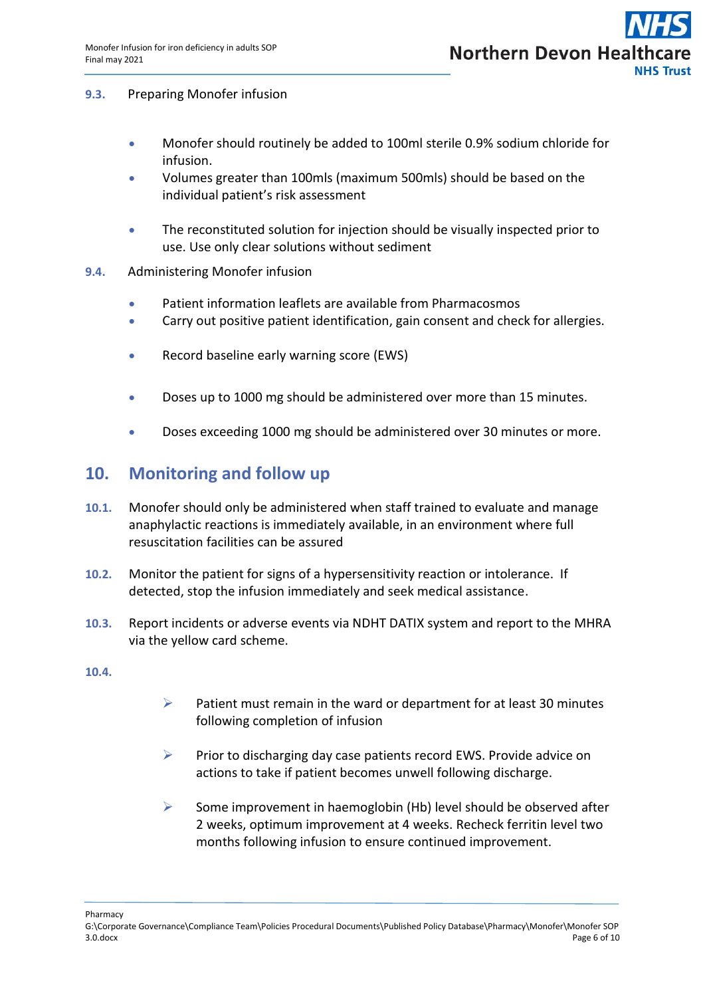#### **9.3.** Preparing Monofer infusion

- Monofer should routinely be added to 100ml sterile 0.9% sodium chloride for infusion.
- Volumes greater than 100mls (maximum 500mls) should be based on the individual patient's risk assessment
- The reconstituted solution for injection should be visually inspected prior to use. Use only clear solutions without sediment
- **9.4.** Administering Monofer infusion
	- Patient information leaflets are available from Pharmacosmos
	- Carry out positive patient identification, gain consent and check for allergies.
	- Record baseline early warning score (EWS)
	- Doses up to 1000 mg should be administered over more than 15 minutes.
	- Doses exceeding 1000 mg should be administered over 30 minutes or more.

# <span id="page-5-0"></span>**10. Monitoring and follow up**

- **10.1.** Monofer should only be administered when staff trained to evaluate and manage anaphylactic reactions is immediately available, in an environment where full resuscitation facilities can be assured
- **10.2.** Monitor the patient for signs of a hypersensitivity reaction or intolerance. If detected, stop the infusion immediately and seek medical assistance.
- **10.3.** Report incidents or adverse events via NDHT DATIX system and report to the MHRA via the yellow card scheme.

#### **10.4.**

- $\triangleright$  Patient must remain in the ward or department for at least 30 minutes following completion of infusion
- $\triangleright$  Prior to discharging day case patients record EWS. Provide advice on actions to take if patient becomes unwell following discharge.
- $\triangleright$  Some improvement in haemoglobin (Hb) level should be observed after 2 weeks, optimum improvement at 4 weeks. Recheck ferritin level two months following infusion to ensure continued improvement.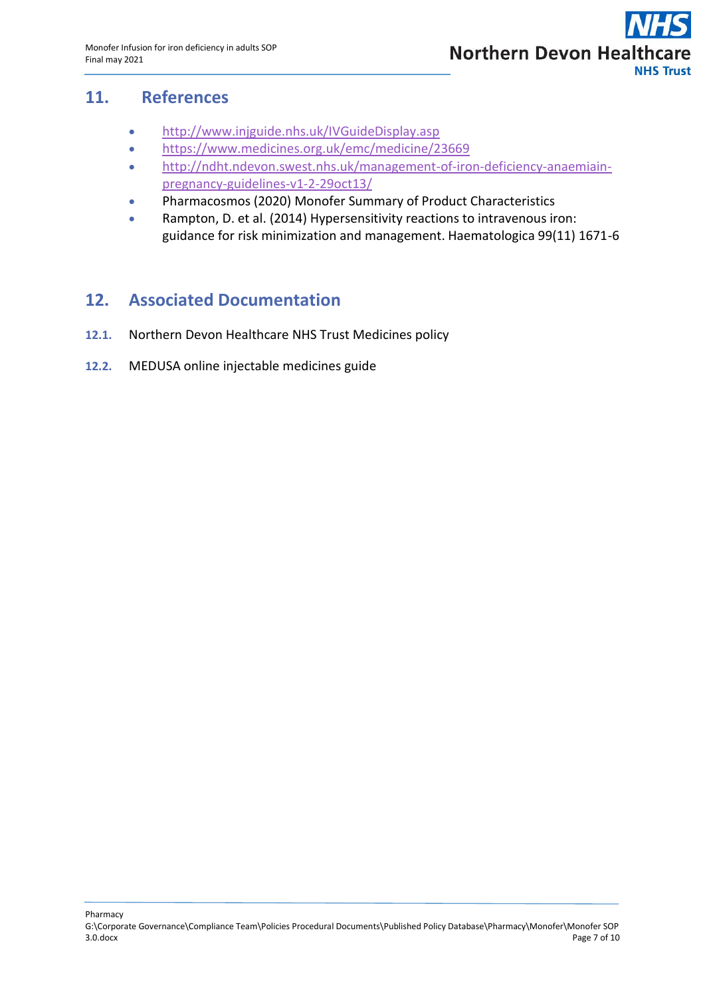

# **11. References**

- <span id="page-6-0"></span><http://www.injguide.nhs.uk/IVGuideDisplay.asp>
- <https://www.medicines.org.uk/emc/medicine/23669>
- [http://ndht.ndevon.swest.nhs.uk/management-of-iron-deficiency-anaemiain](http://ndht.ndevon.swest.nhs.uk/management-of-iron-deficiency-anaemiain-pregnancy-guidelines-v1-2-29oct13/)[pregnancy-guidelines-v1-2-29oct13/](http://ndht.ndevon.swest.nhs.uk/management-of-iron-deficiency-anaemiain-pregnancy-guidelines-v1-2-29oct13/)
- Pharmacosmos (2020) Monofer Summary of Product Characteristics
- Rampton, D. et al. (2014) Hypersensitivity reactions to intravenous iron: guidance for risk minimization and management. Haematologica 99(11) 1671-6

# <span id="page-6-1"></span>**12. Associated Documentation**

- **12.1.** Northern Devon Healthcare NHS Trust Medicines policy
- **12.2.** MEDUSA online injectable medicines guide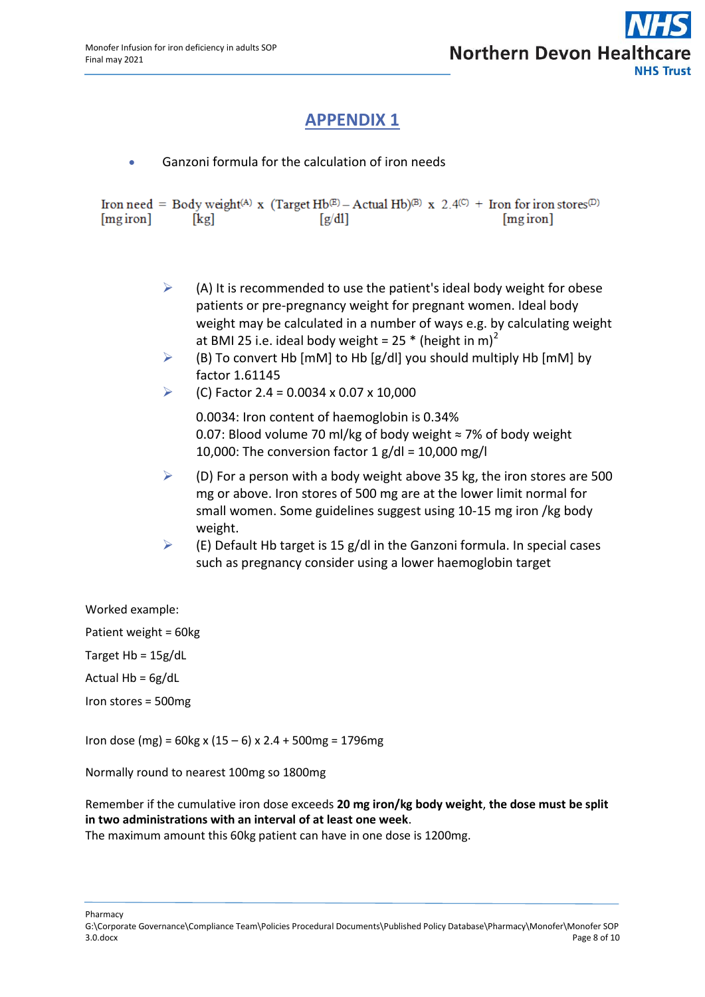# **APPENDIX 1**

Ganzoni formula for the calculation of iron needs

Iron need = Body weight(A) x (Target Hb<sup>(E)</sup> – Actual Hb)<sup>(B)</sup> x 2.4<sup>(C)</sup> + Iron for iron stores<sup>(D)</sup>  $[mg\,iron]$  $[kg]$  $\lceil g/dl \rceil$  $[mg\,iron]$ 

- $\triangleright$  (A) It is recommended to use the patient's ideal body weight for obese patients or pre-pregnancy weight for pregnant women. Ideal body weight may be calculated in a number of ways e.g. by calculating weight at BMI 25 i.e. ideal body weight =  $25 * (height in m)<sup>2</sup>$
- $\triangleright$  (B) To convert Hb [mM] to Hb [g/dl] you should multiply Hb [mM] by factor 1.61145
- $\blacktriangleright$  (C) Factor 2.4 = 0.0034 x 0.07 x 10,000

0.0034: Iron content of haemoglobin is 0.34% 0.07: Blood volume 70 ml/kg of body weight ≈ 7% of body weight 10,000: The conversion factor  $1$  g/dl = 10,000 mg/l

- $\triangleright$  (D) For a person with a body weight above 35 kg, the iron stores are 500 mg or above. Iron stores of 500 mg are at the lower limit normal for small women. Some guidelines suggest using 10-15 mg iron /kg body weight.
- $\triangleright$  (E) Default Hb target is 15 g/dl in the Ganzoni formula. In special cases such as pregnancy consider using a lower haemoglobin target

Worked example:

Patient weight = 60kg

Target Hb = 15g/dL

Actual  $Hb = 6g/dL$ 

Iron stores = 500mg

Iron dose (mg) = 60kg x (15 – 6) x 2.4 + 500mg = 1796mg

Normally round to nearest 100mg so 1800mg

Remember if the cumulative iron dose exceeds **20 mg iron/kg body weight**, **the dose must be split in two administrations with an interval of at least one week**.

The maximum amount this 60kg patient can have in one dose is 1200mg.

Pharmacy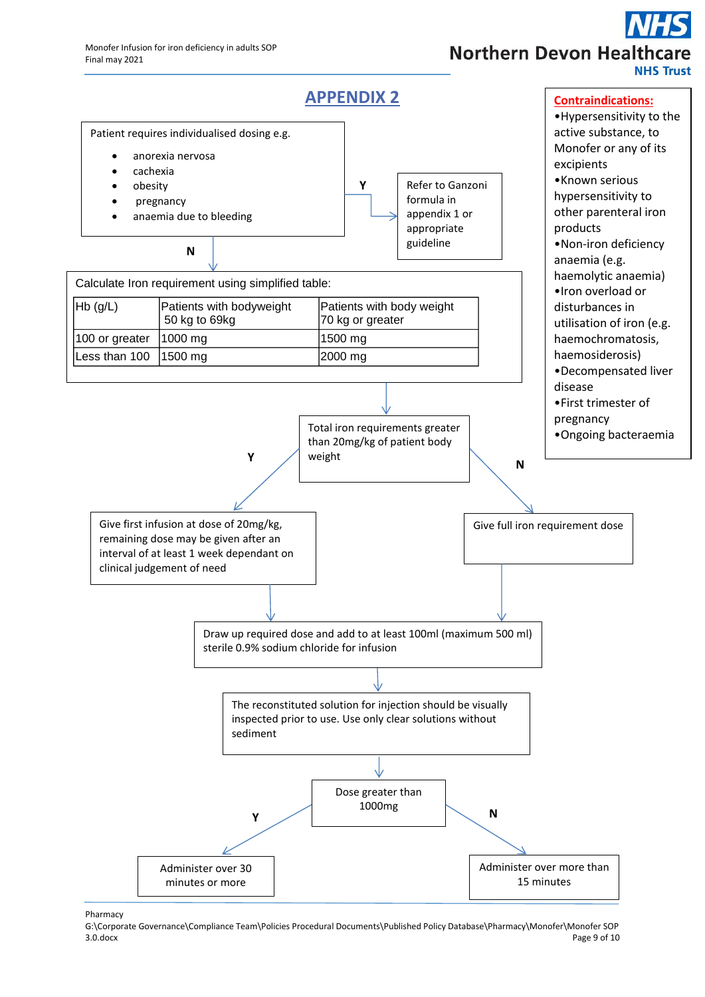# **Northern Devon Healthca NHS Trust**



Pharmacy

G:\Corporate Governance\Compliance Team\Policies Procedural Documents\Published Policy Database\Pharmacy\Monofer\Monofer SOP<br>Page 9 of 10 3.0.docx Page 9 of 10